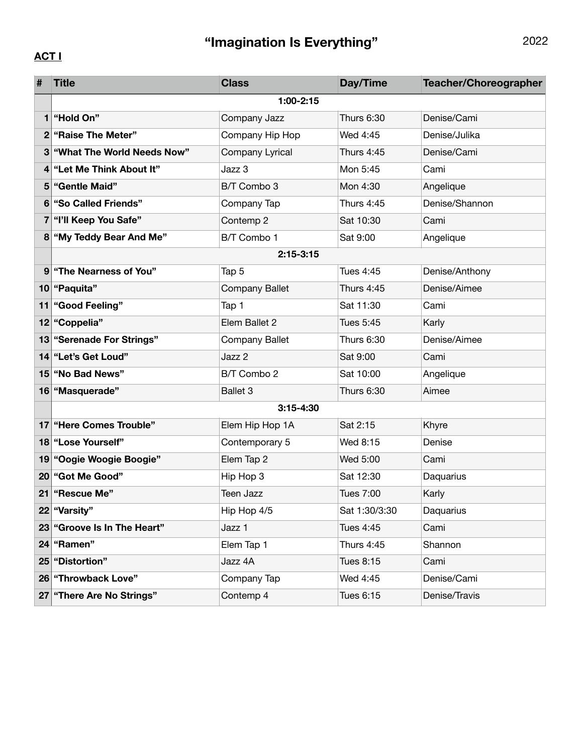## **"Imagination Is Everything"** 2022

## **ACT I**

| #  | <b>Title</b>                | <b>Class</b>          | Day/Time      | <b>Teacher/Choreographer</b> |  |  |  |  |
|----|-----------------------------|-----------------------|---------------|------------------------------|--|--|--|--|
|    | $1:00 - 2:15$               |                       |               |                              |  |  |  |  |
| 1  | "Hold On"                   | Company Jazz          | Thurs 6:30    | Denise/Cami                  |  |  |  |  |
|    | 2 "Raise The Meter"         | Company Hip Hop       | Wed 4:45      | Denise/Julika                |  |  |  |  |
| 3  | "What The World Needs Now"  | Company Lyrical       | Thurs 4:45    | Denise/Cami                  |  |  |  |  |
| 4  | "Let Me Think About It"     | Jazz 3                | Mon 5:45      | Cami                         |  |  |  |  |
| 5  | "Gentle Maid"               | B/T Combo 3           | Mon 4:30      | Angelique                    |  |  |  |  |
| 6  | "So Called Friends"         | Company Tap           | Thurs 4:45    | Denise/Shannon               |  |  |  |  |
| 7  | "I'll Keep You Safe"        | Contemp 2             | Sat 10:30     | Cami                         |  |  |  |  |
|    | 8 "My Teddy Bear And Me"    | B/T Combo 1           | Sat 9:00      | Angelique                    |  |  |  |  |
|    | $2:15-3:15$                 |                       |               |                              |  |  |  |  |
|    | 9 "The Nearness of You"     | Tap 5                 | Tues 4:45     | Denise/Anthony               |  |  |  |  |
|    | 10 "Paquita"                | <b>Company Ballet</b> | Thurs 4:45    | Denise/Aimee                 |  |  |  |  |
| 11 | <b>"Good Feeling"</b>       | Tap 1                 | Sat 11:30     | Cami                         |  |  |  |  |
|    | 12 "Coppelia"               | Elem Ballet 2         | Tues 5:45     | Karly                        |  |  |  |  |
|    | 13 "Serenade For Strings"   | <b>Company Ballet</b> | Thurs 6:30    | Denise/Aimee                 |  |  |  |  |
|    | 14 "Let's Get Loud"         | Jazz 2                | Sat 9:00      | Cami                         |  |  |  |  |
|    | 15 "No Bad News"            | B/T Combo 2           | Sat 10:00     | Angelique                    |  |  |  |  |
|    | 16   "Masquerade"           | <b>Ballet 3</b>       | Thurs 6:30    | Aimee                        |  |  |  |  |
|    | $3:15 - 4:30$               |                       |               |                              |  |  |  |  |
|    | 17   "Here Comes Trouble"   | Elem Hip Hop 1A       | Sat 2:15      | Khyre                        |  |  |  |  |
|    | 18 "Lose Yourself"          | Contemporary 5        | Wed 8:15      | Denise                       |  |  |  |  |
|    | 19 "Oogie Woogie Boogie"    | Elem Tap 2            | Wed 5:00      | Cami                         |  |  |  |  |
|    | 20   "Got Me Good"          | Hip Hop 3             | Sat 12:30     | Daquarius                    |  |  |  |  |
| 21 | "Rescue Me"                 | <b>Teen Jazz</b>      | Tues 7:00     | Karly                        |  |  |  |  |
|    | 22 "Varsity"                | Hip Hop 4/5           | Sat 1:30/3:30 | Daquarius                    |  |  |  |  |
|    | 23 "Groove Is In The Heart" | Jazz 1                | Tues 4:45     | Cami                         |  |  |  |  |
|    | 24 Famen"                   | Elem Tap 1            | Thurs 4:45    | Shannon                      |  |  |  |  |
|    | 25 "Distortion"             | Jazz 4A               | Tues 8:15     | Cami                         |  |  |  |  |
|    | 26 "Throwback Love"         | Company Tap           | Wed 4:45      | Denise/Cami                  |  |  |  |  |
|    | 27 There Are No Strings"    | Contemp 4             | Tues 6:15     | Denise/Travis                |  |  |  |  |